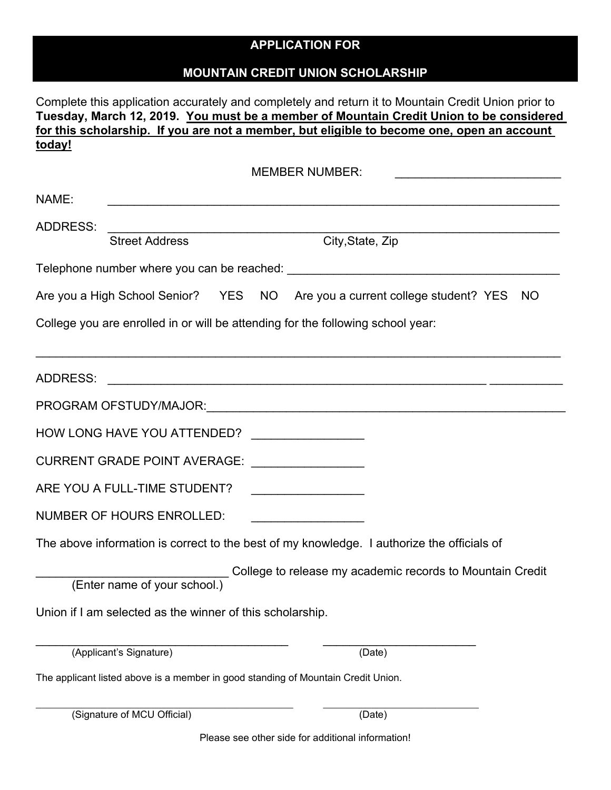## **APPLICATION FOR**

## **MOUNTAIN CREDIT UNION SCHOLARSHIP**

Complete this application accurately and completely and return it to Mountain Credit Union prior to **Tuesday, March 12, 2019. You must be a member of Mountain Credit Union to be considered for this scholarship. If you are not a member, but eligible to become one, open an account today!** 

MEMBER NUMBER:

| NAME:                                                                           |                                                           |  |  |                                                                                                                                                                                                                                |  |  |  |
|---------------------------------------------------------------------------------|-----------------------------------------------------------|--|--|--------------------------------------------------------------------------------------------------------------------------------------------------------------------------------------------------------------------------------|--|--|--|
| <b>ADDRESS:</b>                                                                 | <b>Street Address</b>                                     |  |  | City, State, Zip                                                                                                                                                                                                               |  |  |  |
|                                                                                 |                                                           |  |  | Telephone number where you can be reached:<br>Telephone number where you can be reached:                                                                                                                                       |  |  |  |
|                                                                                 |                                                           |  |  | Are you a High School Senior? YES NO Are you a current college student? YES<br>NO.                                                                                                                                             |  |  |  |
| College you are enrolled in or will be attending for the following school year: |                                                           |  |  |                                                                                                                                                                                                                                |  |  |  |
|                                                                                 |                                                           |  |  |                                                                                                                                                                                                                                |  |  |  |
| <b>ADDRESS:</b>                                                                 |                                                           |  |  |                                                                                                                                                                                                                                |  |  |  |
|                                                                                 |                                                           |  |  | PROGRAM OFSTUDY/MAJOR: NATIONAL CONTROL CONTROL CONTROL CONTROL CONTROL CONTROL CONTROL CONTROL CONTROL CONTROL CONTROL CONTROL CONTROL CONTROL CONTROL CONTROL CONTROL CONTROL CONTROL CONTROL CONTROL CONTROL CONTROL CONTRO |  |  |  |
|                                                                                 | HOW LONG HAVE YOU ATTENDED?                               |  |  |                                                                                                                                                                                                                                |  |  |  |
|                                                                                 | CURRENT GRADE POINT AVERAGE: __________________           |  |  |                                                                                                                                                                                                                                |  |  |  |
|                                                                                 | ARE YOU A FULL-TIME STUDENT?                              |  |  | <u> 1989 - Johann Barbara, martxa al-</u>                                                                                                                                                                                      |  |  |  |
|                                                                                 | <b>NUMBER OF HOURS ENROLLED:</b>                          |  |  |                                                                                                                                                                                                                                |  |  |  |
|                                                                                 |                                                           |  |  | The above information is correct to the best of my knowledge. I authorize the officials of                                                                                                                                     |  |  |  |
|                                                                                 | (Enter name of your school.)                              |  |  | College to release my academic records to Mountain Credit                                                                                                                                                                      |  |  |  |
|                                                                                 | Union if I am selected as the winner of this scholarship. |  |  |                                                                                                                                                                                                                                |  |  |  |
|                                                                                 | (Applicant's Signature)                                   |  |  | (Date)                                                                                                                                                                                                                         |  |  |  |

The applicant listed above is a member in good standing of Mountain Credit Union.

| (Signature of MCU Official) | (Date) |
|-----------------------------|--------|
|-----------------------------|--------|

Please see other side for additional information!